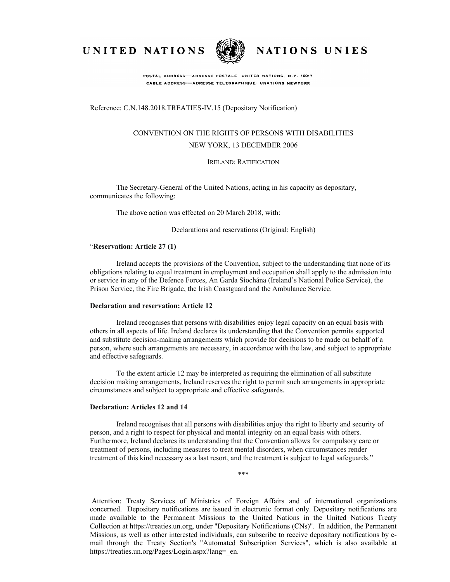UNITED NATIONS



NATIONS UNIES

POSTAL ADDRESS-ADRESSE POSTALE: UNITED NATIONS, N.Y. 10017 CABLE ADDRESS-ADRESSE TELEGRAPHIQUE UNATIONS NEWYORK

Reference: C.N.148.2018.TREATIES-IV.15 (Depositary Notification)

# CONVENTION ON THE RIGHTS OF PERSONS WITH DISABILITIES NEW YORK, 13 DECEMBER 2006

IRELAND: RATIFICATION

The Secretary-General of the United Nations, acting in his capacity as depositary, communicates the following:

The above action was effected on 20 March 2018, with:

## Declarations and reservations (Original: English)

### "**Reservation: Article 27 (1)**

Ireland accepts the provisions of the Convention, subject to the understanding that none of its obligations relating to equal treatment in employment and occupation shall apply to the admission into or service in any of the Defence Forces, An Garda Síochána (Ireland's National Police Service), the Prison Service, the Fire Brigade, the Irish Coastguard and the Ambulance Service.

#### **Declaration and reservation: Article 12**

Ireland recognises that persons with disabilities enjoy legal capacity on an equal basis with others in all aspects of life. Ireland declares its understanding that the Convention permits supported and substitute decision-making arrangements which provide for decisions to be made on behalf of a person, where such arrangements are necessary, in accordance with the law, and subject to appropriate and effective safeguards.

To the extent article 12 may be interpreted as requiring the elimination of all substitute decision making arrangements, Ireland reserves the right to permit such arrangements in appropriate circumstances and subject to appropriate and effective safeguards.

## **Declaration: Articles 12 and 14**

Ireland recognises that all persons with disabilities enjoy the right to liberty and security of person, and a right to respect for physical and mental integrity on an equal basis with others. Furthermore, Ireland declares its understanding that the Convention allows for compulsory care or treatment of persons, including measures to treat mental disorders, when circumstances render treatment of this kind necessary as a last resort, and the treatment is subject to legal safeguards."

\*\*\*

Attention: Treaty Services of Ministries of Foreign Affairs and of international organizations concerned. Depositary notifications are issued in electronic format only. Depositary notifications are made available to the Permanent Missions to the United Nations in the United Nations Treaty Collection at https://treaties.un.org, under "Depositary Notifications (CNs)". In addition, the Permanent Missions, as well as other interested individuals, can subscribe to receive depositary notifications by email through the Treaty Section's "Automated Subscription Services", which is also available at https://treaties.un.org/Pages/Login.aspx?lang= en.